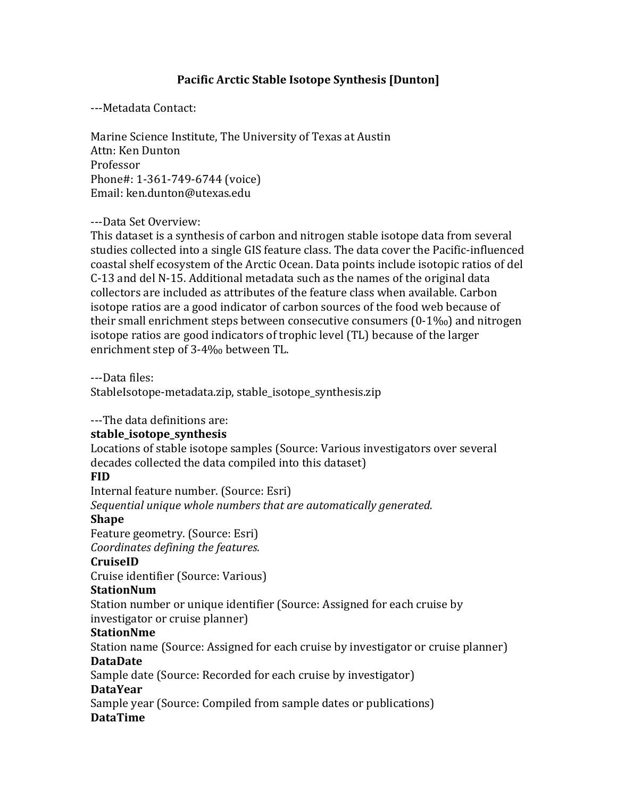#### **Pacific Arctic Stable Isotope Synthesis [Dunton]**

---Metadata Contact:

Marine Science Institute, The University of Texas at Austin Attn: Ken Dunton Professor Phone#: 1-361-749-6744 (voice) Email: ken.dunton@utexas.edu

#### ---Data Set Overview:

This dataset is a synthesis of carbon and nitrogen stable isotope data from several studies collected into a single GIS feature class. The data cover the Pacific-influenced coastal shelf ecosystem of the Arctic Ocean. Data points include isotopic ratios of del C-13 and del N-15. Additional metadata such as the names of the original data collectors are included as attributes of the feature class when available. Carbon isotope ratios are a good indicator of carbon sources of the food web because of their small enrichment steps between consecutive consumers  $(0-1\%_0)$  and nitrogen isotope ratios are good indicators of trophic level (TL) because of the larger enrichment step of 3-4‰ between TL.

---Data files:

StableIsotope-metadata.zip, stable\_isotope\_synthesis.zip

---The data definitions are:

#### **stable\_isotope\_synthesis**

Locations of stable isotope samples (Source: Various investigators over several decades collected the data compiled into this dataset)

#### **FID**

Internal feature number. (Source: Esri)

Sequential unique whole numbers that are automatically generated.

#### **Shape**

Feature geometry. (Source: Esri) *Coordinates defining the features.* 

#### **CruiseID**

Cruise identifier (Source: Various)

#### **StationNum**

Station number or unique identifier (Source: Assigned for each cruise by investigator or cruise planner)

#### **StationNme**

Station name (Source: Assigned for each cruise by investigator or cruise planner) **DataDate**

Sample date (Source: Recorded for each cruise by investigator)

#### **DataYear**

Sample year (Source: Compiled from sample dates or publications) **DataTime**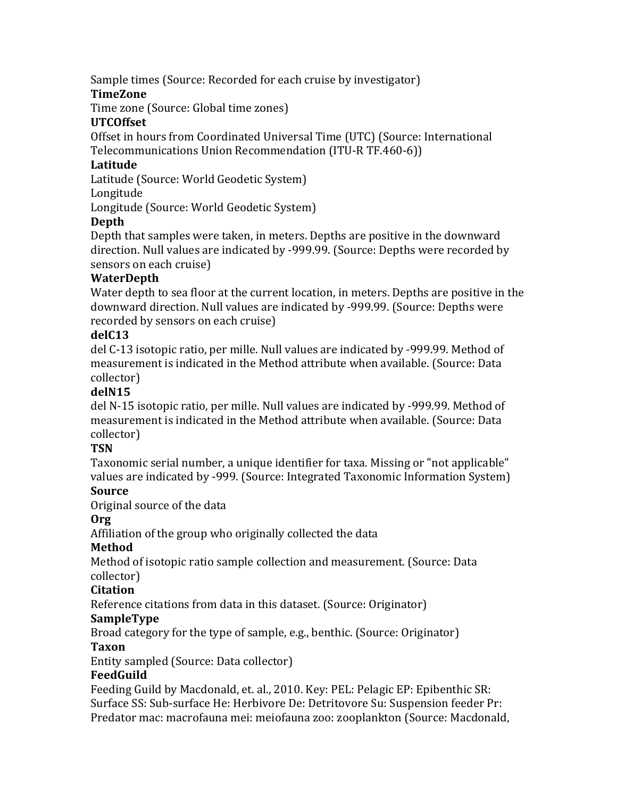Sample times (Source: Recorded for each cruise by investigator)

### **TimeZone**

Time zone (Source: Global time zones)

### **UTCOffset**

Offset in hours from Coordinated Universal Time (UTC) (Source: International Telecommunications Union Recommendation (ITU-R TF.460-6))

### **Latitude**

Latitude (Source: World Geodetic System)

### Longitude

Longitude (Source: World Geodetic System)

# **Depth**

Depth that samples were taken, in meters. Depths are positive in the downward direction. Null values are indicated by -999.99. (Source: Depths were recorded by sensors on each cruise)

# **WaterDepth**

Water depth to sea floor at the current location, in meters. Depths are positive in the downward direction. Null values are indicated by -999.99. (Source: Depths were recorded by sensors on each cruise)

# **delC13**

del C-13 isotopic ratio, per mille. Null values are indicated by -999.99. Method of measurement is indicated in the Method attribute when available. (Source: Data collector)

# **delN15**

del N-15 isotopic ratio, per mille. Null values are indicated by -999.99. Method of measurement is indicated in the Method attribute when available. (Source: Data collector)

# **TSN**

Taxonomic serial number, a unique identifier for taxa. Missing or "not applicable" values are indicated by -999. (Source: Integrated Taxonomic Information System)

# **Source**

Original source of the data

### **Org**

Affiliation of the group who originally collected the data

# **Method**

Method of isotopic ratio sample collection and measurement. (Source: Data collector)

# **Citation**

Reference citations from data in this dataset. (Source: Originator)

# **SampleType**

Broad category for the type of sample, e.g., benthic. (Source: Originator)

# **Taxon**

Entity sampled (Source: Data collector)

# **FeedGuild**

Feeding Guild by Macdonald, et. al., 2010. Key: PEL: Pelagic EP: Epibenthic SR: Surface SS: Sub-surface He: Herbivore De: Detritovore Su: Suspension feeder Pr: Predator mac: macrofauna mei: meiofauna zoo: zooplankton (Source: Macdonald,